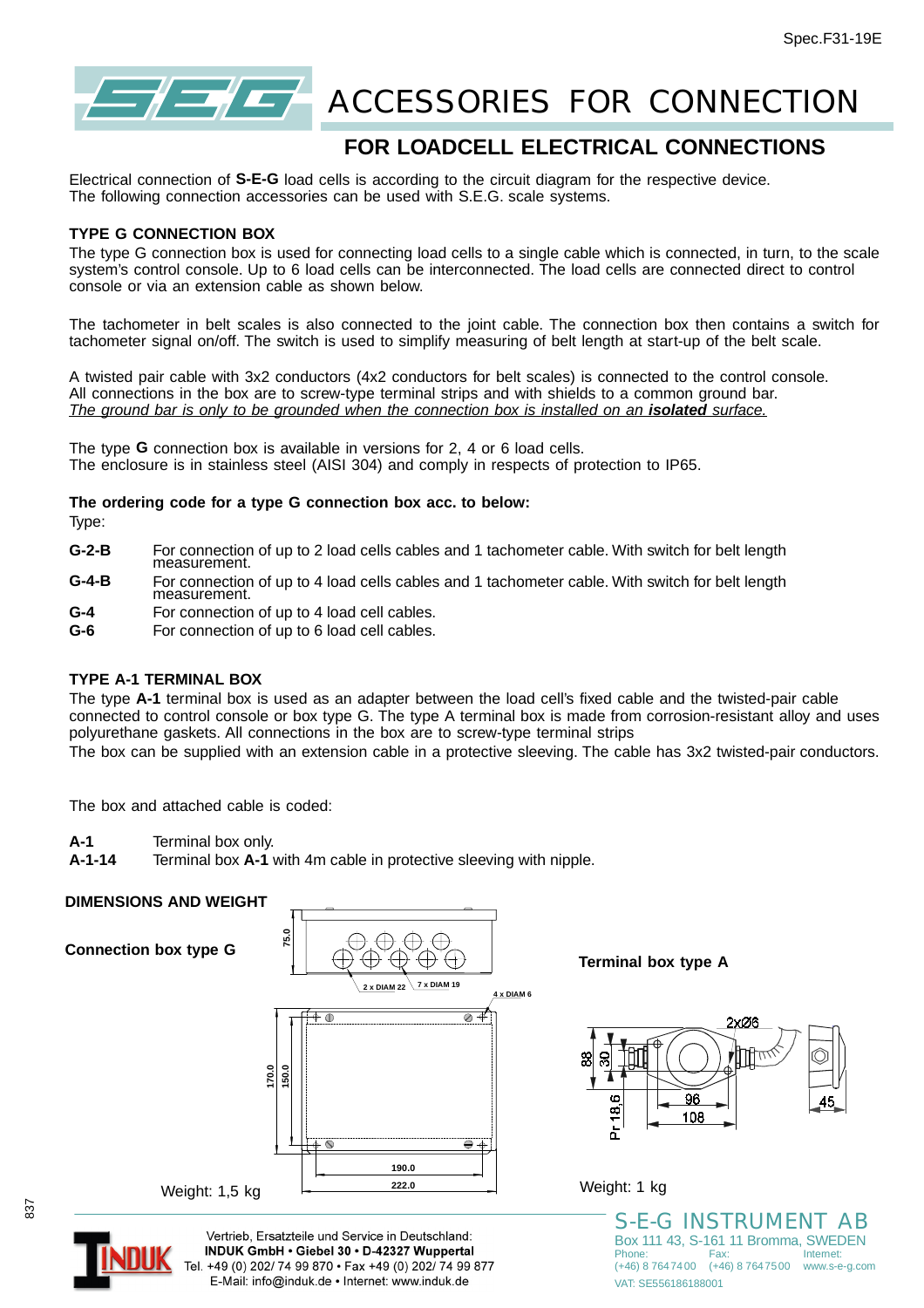

# **ACCESSORIES FOR CONNECTION**

# **FOR LOADCELL ELECTRICAL CONNECTIONS**

Electrical connection of **S-E-G** load cells is according to the circuit diagram for the respective device. The following connection accessories can be used with S.E.G. scale systems.

#### **TYPE G CONNECTION BOX**

The type G connection box is used for connecting load cells to a single cable which is connected, in turn, to the scale system's control console. Up to 6 load cells can be interconnected. The load cells are connected direct to control console or via an extension cable as shown below.

The tachometer in belt scales is also connected to the joint cable. The connection box then contains a switch for tachometer signal on/off. The switch is used to simplify measuring of belt length at start-up of the belt scale.

A twisted pair cable with 3x2 conductors (4x2 conductors for belt scales) is connected to the control console. All connections in the box are to screw-type terminal strips and with shields to a common ground bar. *The ground bar is only to be grounded when the connection box is installed on an isolated surface.*

The type **G** connection box is available in versions for 2, 4 or 6 load cells. The enclosure is in stainless steel (AISI 304) and comply in respects of protection to IP65.

#### **The ordering code for a type G connection box acc. to below:**

Type:

- **G-2-B** For connection of up to 2 load cells cables and 1 tachometer cable. With switch for belt length measurement.
- **G-4-B** For connection of up to 4 load cells cables and 1 tachometer cable. With switch for belt length measurement.
- **G-4** For connection of up to 4 load cell cables.
- **G-6** For connection of up to 6 load cell cables.

# **TYPE A-1 TERMINAL BOX**

The type **A-1** terminal box is used as an adapter between the load cell's fixed cable and the twisted-pair cable connected to control console or box type G. The type A terminal box is made from corrosion-resistant alloy and uses polyurethane gaskets. All connections in the box are to screw-type terminal strips

The box can be supplied with an extension cable in a protective sleeving. The cable has 3x2 twisted-pair conductors.

The box and attached cable is coded:

- **A-1** Terminal box only.
- **A-1-14** Terminal box **A-1** with 4m cable in protective sleeving with nipple.

### **DIMENSIONS AND WEIGHT**

**Connection box type G**



**Terminal box type A**



Weight: 1 kg

S-E-G INSTRUMENT AB Box 111 43, S-161 11 Bromma, SWEDEN Phone: Fax: Internet: (+46) 8 7647400 (+46) 8 7647500 www.s-e-g.com VAT: SE556186188001



Vertrieb. Ersatzteile und Service in Deutschland: INDUK GmbH . Giebel 30 . D-42327 Wuppertal Tel. +49 (0) 202/ 74 99 870 · Fax +49 (0) 202/ 74 99 877 E-Mail: info@induk.de · Internet: www.induk.de